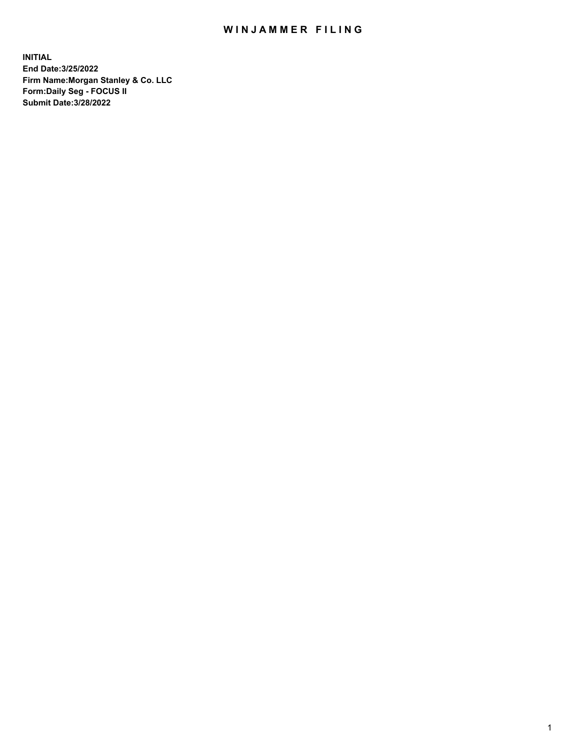## WIN JAMMER FILING

**INITIAL End Date:3/25/2022 Firm Name:Morgan Stanley & Co. LLC Form:Daily Seg - FOCUS II Submit Date:3/28/2022**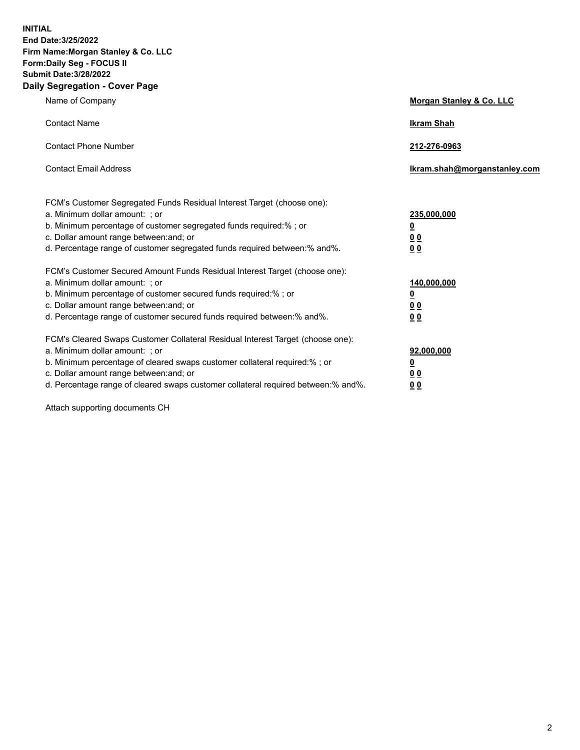**INITIAL End Date:3/25/2022 Firm Name:Morgan Stanley & Co. LLC Form:Daily Seg - FOCUS II Submit Date:3/28/2022 Daily Segregation - Cover Page**

| Name of Company                                                                                                                                                                                                                                                                                                                | Morgan Stanley & Co. LLC                               |
|--------------------------------------------------------------------------------------------------------------------------------------------------------------------------------------------------------------------------------------------------------------------------------------------------------------------------------|--------------------------------------------------------|
| <b>Contact Name</b>                                                                                                                                                                                                                                                                                                            | <b>Ikram Shah</b>                                      |
| <b>Contact Phone Number</b>                                                                                                                                                                                                                                                                                                    | 212-276-0963                                           |
| <b>Contact Email Address</b>                                                                                                                                                                                                                                                                                                   | Ikram.shah@morganstanley.com                           |
| FCM's Customer Segregated Funds Residual Interest Target (choose one):<br>a. Minimum dollar amount: ; or<br>b. Minimum percentage of customer segregated funds required:% ; or<br>c. Dollar amount range between: and; or<br>d. Percentage range of customer segregated funds required between:% and%.                         | 235,000,000<br><u>0</u><br>0 <sup>0</sup><br><u>00</u> |
| FCM's Customer Secured Amount Funds Residual Interest Target (choose one):<br>a. Minimum dollar amount: ; or<br>b. Minimum percentage of customer secured funds required:% ; or<br>c. Dollar amount range between: and; or<br>d. Percentage range of customer secured funds required between:% and%.                           | 140,000,000<br><u>0</u><br><u>00</u><br>00             |
| FCM's Cleared Swaps Customer Collateral Residual Interest Target (choose one):<br>a. Minimum dollar amount: ; or<br>b. Minimum percentage of cleared swaps customer collateral required:% ; or<br>c. Dollar amount range between: and; or<br>d. Percentage range of cleared swaps customer collateral required between:% and%. | 92,000,000<br><u>0</u><br><u>00</u><br>00              |

Attach supporting documents CH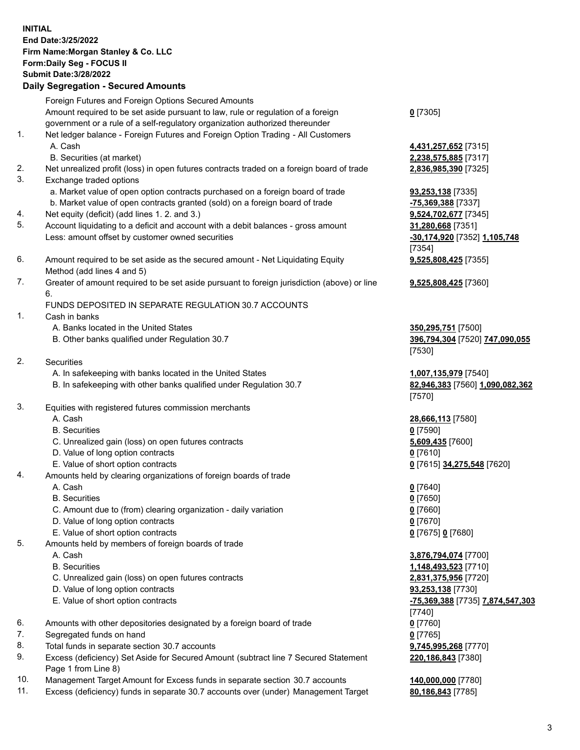## **INITIAL End Date:3/25/2022 Firm Name:Morgan Stanley & Co. LLC Form:Daily Seg - FOCUS II Submit Date:3/28/2022 Daily Segregation - Secured Amounts** Foreign Futures and Foreign Options Secured Amounts Amount required to be set aside pursuant to law, rule or regulation of a foreign government or a rule of a self-regulatory organization authorized thereunder **0** [7305] 1. Net ledger balance - Foreign Futures and Foreign Option Trading - All Customers A. Cash **4,431,257,652** [7315] B. Securities (at market) **2,238,575,885** [7317] 2. Net unrealized profit (loss) in open futures contracts traded on a foreign board of trade **2,836,985,390** [7325] 3. Exchange traded options a. Market value of open option contracts purchased on a foreign board of trade **93,253,138** [7335] b. Market value of open contracts granted (sold) on a foreign board of trade **-75,369,388** [7337] 4. Net equity (deficit) (add lines 1. 2. and 3.) **9,524,702,677** [7345] 5. Account liquidating to a deficit and account with a debit balances - gross amount **31,280,668** [7351] Less: amount offset by customer owned securities **-30,174,920** [7352] **1,105,748** [7354] 6. Amount required to be set aside as the secured amount - Net Liquidating Equity Method (add lines 4 and 5) **9,525,808,425** [7355] 7. Greater of amount required to be set aside pursuant to foreign jurisdiction (above) or line 6. **9,525,808,425** [7360] FUNDS DEPOSITED IN SEPARATE REGULATION 30.7 ACCOUNTS 1. Cash in banks A. Banks located in the United States **350,295,751** [7500] B. Other banks qualified under Regulation 30.7 **396,794,304** [7520] **747,090,055** [7530] 2. Securities A. In safekeeping with banks located in the United States **1,007,135,979** [7540] B. In safekeeping with other banks qualified under Regulation 30.7 **82,946,383** [7560] **1,090,082,362** [7570] 3. Equities with registered futures commission merchants A. Cash **28,666,113** [7580] B. Securities **0** [7590] C. Unrealized gain (loss) on open futures contracts **5,609,435** [7600] D. Value of long option contracts **0** [7610] E. Value of short option contracts **0** [7615] **34,275,548** [7620] 4. Amounts held by clearing organizations of foreign boards of trade A. Cash **0** [7640] B. Securities **0** [7650] C. Amount due to (from) clearing organization - daily variation **0** [7660] D. Value of long option contracts **0** [7670] E. Value of short option contracts **0** [7675] **0** [7680] 5. Amounts held by members of foreign boards of trade A. Cash **3,876,794,074** [7700] B. Securities **1,148,493,523** [7710] C. Unrealized gain (loss) on open futures contracts **2,831,375,956** [7720] D. Value of long option contracts **93,253,138** [7730] E. Value of short option contracts **-75,369,388** [7735] **7,874,547,303** [7740] 6. Amounts with other depositories designated by a foreign board of trade **0** [7760] 7. Segregated funds on hand **0** [7765] 8. Total funds in separate section 30.7 accounts **9,745,995,268** [7770] 9. Excess (deficiency) Set Aside for Secured Amount (subtract line 7 Secured Statement **220,186,843** [7380]

- Page 1 from Line 8)
- 10. Management Target Amount for Excess funds in separate section 30.7 accounts **140,000,000** [7780]
- 11. Excess (deficiency) funds in separate 30.7 accounts over (under) Management Target **80,186,843** [7785]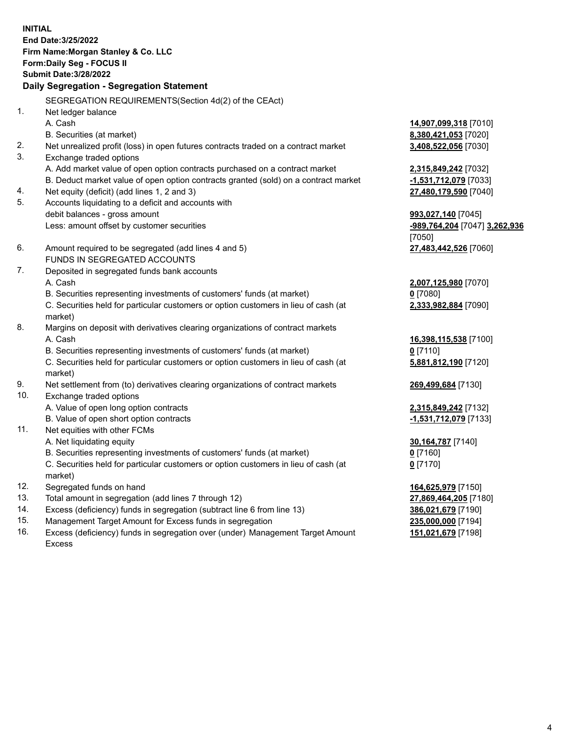**INITIAL End Date:3/25/2022 Firm Name:Morgan Stanley & Co. LLC Form:Daily Seg - FOCUS II Submit Date:3/28/2022 Daily Segregation - Segregation Statement** SEGREGATION REQUIREMENTS(Section 4d(2) of the CEAct) 1. Net ledger balance A. Cash **14,907,099,318** [7010] B. Securities (at market) **8,380,421,053** [7020] 2. Net unrealized profit (loss) in open futures contracts traded on a contract market **3,408,522,056** [7030] 3. Exchange traded options A. Add market value of open option contracts purchased on a contract market **2,315,849,242** [7032] B. Deduct market value of open option contracts granted (sold) on a contract market **-1,531,712,079** [7033] 4. Net equity (deficit) (add lines 1, 2 and 3) **27,480,179,590** [7040] 5. Accounts liquidating to a deficit and accounts with debit balances - gross amount **993,027,140** [7045] Less: amount offset by customer securities **-989,764,204** [7047] **3,262,936** [7050] 6. Amount required to be segregated (add lines 4 and 5) **27,483,442,526** [7060] FUNDS IN SEGREGATED ACCOUNTS 7. Deposited in segregated funds bank accounts A. Cash **2,007,125,980** [7070] B. Securities representing investments of customers' funds (at market) **0** [7080] C. Securities held for particular customers or option customers in lieu of cash (at market) **2,333,982,884** [7090] 8. Margins on deposit with derivatives clearing organizations of contract markets A. Cash **16,398,115,538** [7100] B. Securities representing investments of customers' funds (at market) **0** [7110] C. Securities held for particular customers or option customers in lieu of cash (at market) **5,881,812,190** [7120] 9. Net settlement from (to) derivatives clearing organizations of contract markets **269,499,684** [7130] 10. Exchange traded options A. Value of open long option contracts **2,315,849,242** [7132] B. Value of open short option contracts **-1,531,712,079** [7133] 11. Net equities with other FCMs A. Net liquidating equity **30,164,787** [7140] B. Securities representing investments of customers' funds (at market) **0** [7160] C. Securities held for particular customers or option customers in lieu of cash (at market) **0** [7170] 12. Segregated funds on hand **164,625,979** [7150] 13. Total amount in segregation (add lines 7 through 12) **27,869,464,205** [7180] 14. Excess (deficiency) funds in segregation (subtract line 6 from line 13) **386,021,679** [7190] 15. Management Target Amount for Excess funds in segregation **235,000,000** [7194]

16. Excess (deficiency) funds in segregation over (under) Management Target Amount Excess

**151,021,679** [7198]